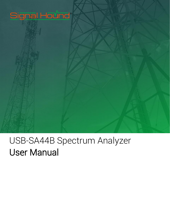# Signal Hound®

# USB-SA44B Spectrum Analyzer User Manual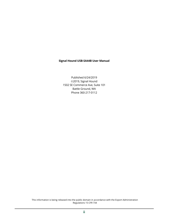#### **Signal Hound USB-SA44B User Manual**

Published 6/24/2019 2019, Signal Hound 1502 SE Commerce Ave, Suite 101 Battle Ground, WA Phone 360-217-0112

This information is being released into the public domain in accordance with the Export Administration Regulations 15 CFR 734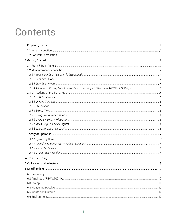# Contents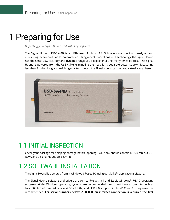# <span id="page-4-0"></span>1 Preparing for Use

*Unpacking your Signal Hound and Installing Software*

The Signal Hound USB-SA44B is a USB-based 1 Hz to 4.4 GHz economy spectrum analyzer and measuring receiver with an RF preamplifier. Using recent innovations in RF technology, the Signal Hound has the sensitivity, accuracy and dynamic range you'd expect in a unit many times its cost. The Signal Hound is powered from the USB cable, eliminating the need for a separate power supply. Measuring less than 8 inches long and weighing only ten ounces, the Signal Hound can be used virtually anywhere!



## 1.1 INITIAL INSPECTION

Check your package for shipping damage before opening. Your box should contain a USB cable, a CD-ROM, and a Signal Hound USB-SA44B.

# 1.2 SOFTWARE INSTALLATION

The Signal Hound is operated from a Windows®-based PC using our Spike™ application software.

The Signal Hound software and drivers are compatible with 64 and 32-bit Windows® 7/8/10 operating systems\*. 64-bit Windows operating systems are recommended. You must have a computer with at least 500 MB of free disk space, 4 GB of RAM, and USB 2.0 support. An Intel® Core i3 or equivalent is recommended. **For serial numbers below 21000000, an internet connection is required the first**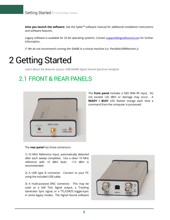time you launch the software. See the Spike™ software manual for additional installation instructions and software features.

Legacy software is available for 32-bit operating systems. Contact [support@signalhound.com](mailto:support@signalhound.com) for further information.

*(\* We do not recommend running the SA44B in a virtual machine (i.e. Parallels/VMWare/etc.))*

# <span id="page-5-0"></span>2 Getting Started

*Learn about the features of your USB-SA44B Signal Hound Spectrum Analyzer* 

## 2.1 FRONT & REAR PANELS



The **front panel** includes a 50Ω SMA RF input. Do not exceed +20 dBm or damage may occur. A **READY / BUSY** LED flashes orange each time a command from the computer is processed.

The **rear panel** has three connectors:

1) 10 MHz Reference input, automatically detected after each sweep completes. Use a clean 10 MHz reference with >0 dBm level. +13 dBm is recommended.

2) A USB type B connector. Connect to your PC using the included USB cable.

3) A multi-purpose BNC connector. This may be used as a Self Test Signal output, a Tracking Generator Sync signal, or a TTL/CMOS trigger/sync in some legacy modes. The Signal Hound software

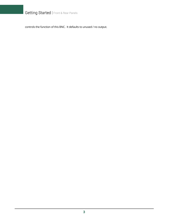Getting Started | Front & Rear Panels

controls the function of this BNC. It defaults to unused / no output.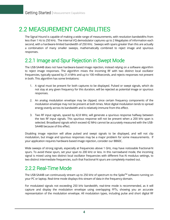# 2.2 MEASUREMENT CAPABILITIES

The Signal Hound is capable of making a wide range of measurements, with resolution bandwidths from less than 1 Hz to 250 kHz. The internal I/Q demodulator captures up to 2 Megabytes of information each second, with a hardware-limited bandwidth of 250 KHz. Sweeps with spans greater than this are actually a combination of many smaller sweeps, mathematically combined to reject image and spurious responses.

### 2.2.1 Image and Spur Rejection in Swept Mode

The USB-SA44B does not have hardware-based image rejection, instead relying on a software algorithm to reject image responses. The algorithm mixes the incoming RF with two distinct local oscillator frequencies, typically spaced by 21.4 MHz and up to 100 milliseconds, and rejects responses not present in both. This algorithm has some limitations:

- 1. A signal must be present for both captures to be displayed. Pulsed or swept signals, which do not stay at any given frequency for this duration, will be rejected as potential image or spurious responses.
- 2. An analog modulation envelope may be clipped, since certain frequency components of the modulation envelope may not be present at both times. Most digital modulation tends to spread energy evenly across its bandwidth and is relatively immune from this effect.
- 3. Two RF input signals, spaced by 42.8 MHz, will generate a spurious response halfway between the two RF input signals. This spurious response will not be present when a 200 kHz span is selected. Broadband signals which exceed 42 MHz cannot be accurately measured with the USB-SA44B because of this effect.

Disabling image rejection will allow pulsed and swept signals to be displayed, and will not clip modulation, but image and spurious responses may be a major problem for some measurements. If your application requires hardware-based image rejection, consider our BB60C.

Wide sweeps of strong signals, especially at frequencies above 1 GHz, may have noticeable fractional-N spurs. To avoid these spurs, set your span to 200 kHz or less. In this narrowband mode, the incoming signal is mixed using two distinct local oscillator frequencies with different frac-N modulus settings, to two distinct intermediate frequencies, such that fractional-N spurs are completely masked out.

### 2.2.2 Real-Time Mode

The USB-SA44B can continuously stream up to 250 kHz of spectrum to the Spike™ software running on your PC or laptop. Real-time mode displays this stream of data in the frequency domain.

For modulated signals not exceeding 250 kHz bandwidth, real-time mode is recommended, as it will capture and display the modulation envelope using overlapping FFTs, showing you an accurate representation of the modulation envelope. All modulation types, including pulse and short digital RF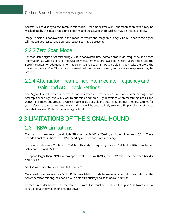packets, will be displayed accurately in this mode. Other modes will work, but modulation details may be masked out by the image rejection algorithm, and pulses and short packets may be missed entirely.

Image rejection is not available in this mode, therefore the image frequency, 21.4 MHz above the signal, will not be suppressed, and spurious responses may be present.

### 2.2.3 Zero Span Mode

For modulated signals not exceeding 250 kHz bandwidth, time-domain amplitude, frequency, and phase information, as well as several modulation measurements, are available in Zero Span mode. See the Spike<sup>TM</sup> manual for additional information. Image rejection is not available in this mode, therefore the image frequency, 21.4 MHz above the signal, will not be suppressed, and spurious responses may be present.

### 2.2.4 Attenuator, Preamplifier, Intermediate Frequency and Gain, and ADC Clock Settings

The Signal Hound switches between two intermediate frequencies, four attenuator settings, two preamplifier settings, two ADC clock frequencies, and three IF gain settings when measuring signals and performing image suppression. Unless you explicitly disable the automatic settings, the best settings for your reference level, center frequency, and span will be automatically selected. Simply select a reference level that is a few dB above the input signal level.

# 2.3 LIMITATIONS OF THE SIGNAL HOUND

### 2.3.1 RBW Limitations

The maximum resolution bandwidth (RBW) of the SA44B is 250kHz, and the minimum is 0.1Hz. There are additional restrictions on RBW depending on span and start frequency.

For spans between 201kHz and 99MHz with a start frequency above 16MHz, the RBW can be set between 30Hz and 250kHz.

For spans larger than 99MHz or sweeps that start below 16MHz, the RBW can be set between 6.5 kHz and 250kHz.

All RBWs are available for spans 200kHz or less.

Outside of these limitations, a 5MHz RBW is available through the use of an internal power detector. The power detector can only be enabled with a start frequency and span above 200MHz.

To measure wider bandwidths, the channel power utility must be used. See the Spike $^{TM}$  software manual for additional information on channel power.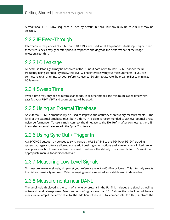A traditional 1-3-10 RBW sequence is used by default in Spike, but any RBW up to 250 kHz may be selected.

## 2.3.2 IF Feed-Through

Intermediate frequencies of 2.9 MHz and 10.7 MHz are used for all frequencies. An RF input signal near these frequencies may generate spurious responses and degrade the performance of the image rejection algorithm.

### 2.3.3 LO Leakage

A Local Oscillator signal may be observed at the RF input port, often found 10.7 MHz above the RF frequency being scanned. Typically, this level will not interfere with your measurements. If you are connecting to an antenna, set your reference level to -30 dBm to activate the preamplifier to minimize LO leakage.

### 2.3.4 Sweep Time

Sweep Time may only be set in zero span mode. In all other modes, the minimum sweep time which satisfies your RBW, VBW and span settings will be used.

### 2.3.5 Using an External Timebase

An external 10 MHz timebase my be used to improve the accuracy of frequency measurements. The level of the external timebase must be > 0 dBm. +13 dBm is recommended to achieve optimal phase noise performance. To use, simply connect the timebase to the **Ext Ref In** after connecting the USB, then select external reference in the Spike™ software.

### 2.3.6 Using Sync Out / Trigger In

A 3.3V CMOS output may be used to synchronize the USB-SA44B to the TG44A or TG124A tracking generator. Legacy software allowed some additional triggering options available for a very limited range of applications, but these have been removed to enhance the stability of our new platform. Consult the appropriate manual for additional details.

### 2.3.7 Measuring Low Level Signals

To measure low-level signals, simply set your reference level to -40 dBm or lower. This internally selects the highest sensitivity settings. Video averaging may be required for a stable amplitude reading.

### 2.3.8 Measurements near DANL

The amplitude displayed is the sum of all energy present in the IF. This includes the signal as well as noise and residual responses. Measurements of signals less than 10 dB above the noise floor will have a measurable amplitude error due to the addition of noise. To compensate for this, subtract the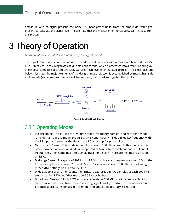amplitude with no signal present (the noise), in linear power units, from the amplitude with signal present, to calculate the signal level. Please note that the measurement uncertainty will increase from this process.

# <span id="page-10-0"></span>3 Theory of Operation

Learn about the internal blocks that make up the Signal Hound

The Signal Hound is built around a narrow-band IF-to-bits receiver with a maximum bandwidth of 250 KHz. It receives up to 2 Megabytes of I/Q data each second, which it processes into a trace. To bring you a low cost, compact spectrum analyzer, we used high-level RF integrated circuits. The block diagram, below, illustrates the major elements of the design. Image rejection is accomplished by mixing high side and low side (sometimes with separate IF frequencies), then masking together the results.



**Figure 5: Simplified Block Diagram**

### 3.1.1 Operating Modes

- I/Q streaming: This is used for real-time mode (frequency domain) and zero span mode (time domain). In this mode, the USB-SA44B continuously mixes a fixed LO frequency with the RF input and streams the data to the PC or laptop for processing.
- Narrowband Sweep: This mode is used for spans of 200 kHz or less. In this mode, a fixed, predetermined amount of I/Q data is captured at two distinct combinations of LO and IF frequencies, then combined into a single trace for display. There are minimal restrictions on RBW.
- Midrange Sweep: For spans of 201 kHz to 99 MHz with a start frequency above 16 MHz, the firmware captures between 256 and 65,536 I/Q samples at each 200 kHz step, allowing RBW / VBW settings of 30 Hz to 250 kHz.
- Wide Sweep: For all other spans, the firmware captures 256 I/Q samples at each 200 kHz step, meaning RBW and VBW must be 6.5 kHz or higher.
- Broadband Sweep: 5 MHz RBW, only available above 200 MHz start frequency. Rapidly sweeps across the spectrum, to find a strong signal quickly. Certain RF frequencies may produce spurious responses in this mode, and amplitude accuracy is reduced.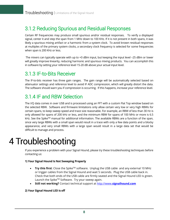### 3.1.2 Reducing Spurious and Residual Responses

Certain RF frequencies may produce small spurious and/or residual responses. To verify a displayed signal, center it and step the span from 1 MHz down to 100 KHz. If it is not present in both spans, it was likely a spurious mixing artifact or a harmonic from a system clock. To avoid known residual responses at multiples of the primary system clocks, a secondary clock frequency is selected for some frequencies when span is 200 KHz or less.

The mixers can typically operate with up to +0 dBm input, but keeping the input level –25 dBm or lower will greatly improve linearity, reducing harmonic and spurious mixing products. You can accomplish this in software by setting your reference level 15-20 dB above your actual input level.

### 3.1.3 IF-to-Bits Receiver

The IF-to-bits receiver has three gain ranges. The gain range will be automatically selected based on attenuator settings and reference level to avoid IF ADC compression, which will greatly distort the data. The software should warn you if compression is occurring. If this happens, increase your reference level.

### 3.1.4 IF and RBW Selection

The I/Q data comes in over USB and is processed using an FFT with a custom Flat Top window based on the selected RBW. Software and firmware limitations only allow certain very low or very high RBWs for certain spans, to keep sweep speed and trace size reasonable. For example, an RBW of less than 30 Hz is only allowed for spans of 200 kHz or less, and the minimum RBW for spans of 100 MHz or more is 6.5 kHz. See the Spike™ manual for additional information. The available RBWs are a function of the span, since very large RBWs with a small span would result in a trace with only a few data points and a blocky appearance, and very small RBWs with a large span would result in a large data set that would be difficult to manage and process.

# <span id="page-11-0"></span>4 Troubleshooting

If you experience a problem with your Signal Hound, please try these troubleshooting techniques before contacting us:

#### **1) Your Signal Hound Is Not Sweeping Properly**

- **Try this first**: Close the Spike™ software. Unplug the USB cable and any external 10 MHz or trigger cables from the Signal Hound and wait 5 seconds. Plug the USB cable back in. Check that both ends of the USB cable are firmly seated and the Signal Hound LED is green. Launch the Spike™ Software. Try your sweep again.
- **Still not working?** Contact technical support at http://www.**[signalhound.com](http://www.signalhound.com/)**

#### **2) Your Signal Hound LED is off**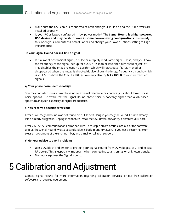- Make sure the USB cable is connected at both ends, your PC is on and the USB drivers are installed properly.
- Is your PC or laptop configured in low power mode? **The Signal Hound is a high-powered USB device and may be shut down in some power-saving configurations**. To remedy this, open your computer's Control Panel, and change your Power Options setting to High Performance.

#### **3) Your Signal Hound doesn't find a signal**

• Is it a swept or transient signal, a pulse or a rapidly modulated signal? If so, and you know the frequency of the signal, set up for a 200 KHz span or less, then turn "spur reject" off. This disables the image rejection algorithm which will reject data if it has moved or disappeared when the image is checked (it also allows the image frequency through, which is 21.4 MHz above the CENTER FREQ). You may also try **MAX HOLD** to capture transient signals.

#### **4) Your phase noise seems too high**

You may consider using a low phase noise external reference or contacting us about lower phase noise options. Be aware that the Signal Hound phase noise is noticably higher than a YIG-based spectrum analyzer, especially at higher frequencies.

#### **5) You receive a specific error code**

Error 1: Your Signal hound was not found on a USB port. Plug in your Signal Hound if it isn't already. If it is already plugged in, unplug it, reboot, re-install the USB driver, and/or try a different USB port.

Error 2-6: A USB communications error occurred. If multiple errors occur, close out of the software, unplug the Signal Hound, wait 5 seconds, plug it back in and try again. If you get a recurring error, please make a note of the error number, and e-mail or call tech support.

#### **6) General Advice to avoid problems**

- Use a DC block and limiter to protect your Signal Hound from DC voltages, ESD, and excess RF power. This is especially important when connecting to antrennas or unknown signals.
- Do not overpower the Signal Hound.

# <span id="page-12-0"></span>5 Calibration and Adjustment

Contact Signal Hound for more information regarding calibration services, or our free calibration software and required equipment.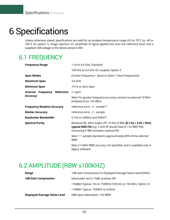# <span id="page-13-0"></span>6 Specifications

Unless otherwise stated, specifications are valid for an ambient temperature range of 0 to 70°C (or -40 to +85°C for option 1), image rejection on, amplitude of signal applied less than the reference level, and a supplied USB voltage to the device above 4.39V.

# 6.1 FREQUENCY

| <b>Frequency Range</b>            | 1 Hz to 4.4 GHz, Standard                                                                                                                                               |
|-----------------------------------|-------------------------------------------------------------------------------------------------------------------------------------------------------------------------|
|                                   | 100 kHz to 4.4 GHz AC-coupled, Option 3                                                                                                                                 |
| <b>Span Modes</b>                 | (Center Frequency + Span) or (Start + Stop Frequencies)                                                                                                                 |
| <b>Maximum Span</b>               | $4.4$ GHz                                                                                                                                                               |
| <b>Minimum Span</b>               | 10 Hz or Zero Span                                                                                                                                                      |
| Internal Frequency Reference      | $±1$ ppm                                                                                                                                                                |
| <b>Accuracy</b>                   | Note: For greater frequency accuracy connect to external 10 MHz<br>timebase (0 to $+20$ dBm)                                                                            |
| <b>Frequency Readout Accuracy</b> | reference error $\pm 1$ sample $(1)$                                                                                                                                    |
| <b>Marker Accuracy</b>            | reference error $\pm 1$ sample                                                                                                                                          |
| <b>Resolution Bandwidth</b>       | 0.1Hz to 250KHz and 5MH $z^{(2)}$                                                                                                                                       |
| <b>Spectral Purity</b>            | Residual FM, 3KHz Audio LPF, 15 KHz IF BW: [0.1 Hz + 4 Hz / GHz]<br>typical RMS FM (e.g. 2 GHz RF would have 8.1 Hz RMS FM).<br>Increasing IF BW increases residual FM. |
|                                   | Note 1: 1 sample represents approximately 40% of the selected<br><b>RBW</b>                                                                                             |
|                                   | <i>Note 2:</i> 5 MHz RBW accuracy not specified, and is available only in<br>legacy software.                                                                           |

### 6.2 AMPLITUDE (RBW ≤100KHZ)

| Range                                | 1dB Gain Compression to Displayed Average Noise Level (DANL) |
|--------------------------------------|--------------------------------------------------------------|
| <b>1dB Gain Compression</b>          | (attenuator set to 15dB, preamp off)                         |
|                                      | +16dBm Typical, 1Hz to 150MHz (100 kHz to 150 MHz, Option 3) |
|                                      | +19dBm Typical, 150MHz to 4.4GHz                             |
| <b>Displayed Average Noise Level</b> | 0dB input attenuation, 1Hz RBW                               |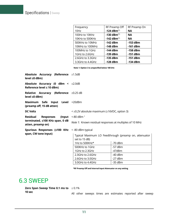| Frequency        | RF Preamp Off             | RF Preamp On |
|------------------|---------------------------|--------------|
| 10Hz             | -124 dBm $^{(1)}$         | <b>NA</b>    |
| 100Hz to 10KHz   | $-130$ dBm <sup>(1)</sup> | <b>NA</b>    |
| 10KHz to 500KHz  | $-142$ dBm <sup>(1)</sup> | <b>NA</b>    |
| 500KHz to 10MHz  | $-142$ dBm                | $-153$ dBm   |
| 10MHz to 100MHz  | $-148$ dBm                | $-161$ dBm   |
| 100MHz to 1GHz   | $-144$ dBm                | $-158$ dBm   |
| 1GHz to 2.6GHz   | $-139$ dBm                | $-151$ dBm   |
| 2.6GHz to 3.3GHz | $-135$ dBm                | $-151$ dBm   |
| 3.3GHz to 4.4GHz | $-128$ dBm                | $-134$ dBm   |

 **Note 1: Option 3 is unspecified below 100 kHz**

| Absolute Accuracy (Reference ±1.5dB<br>level ≤0 dBm)                    |                                                            |                                                       |
|-------------------------------------------------------------------------|------------------------------------------------------------|-------------------------------------------------------|
| Absolute Accuracy (0 dBm $\lt$ $\pm$ 2.0dB<br>Reference level ≤ 10 dBm) |                                                            |                                                       |
| <b>Relative Accuracy (Reference</b> $\pm 0.25$ dB<br>level ≤0 dBm)      |                                                            |                                                       |
| Maximum Safe Input Level +20dBm<br>(preamp off, 15 dB atten)            |                                                            |                                                       |
| <b>DC Volts</b>                                                         | $\leq \pm 0.2V$ absolute maximum ( $\pm 16VDC$ , option 3) |                                                       |
| <b>Residual</b><br>(Input)<br><b>Responses</b>                          | $< 80$ dBm <sup>1</sup>                                    |                                                       |
| terminated, ≤100 KHz span, 0 dB<br>atten, preamp on)                    | Note 1: Known residual responses at multiples of 10 MHz    |                                                       |
| Spurious Responses (≤100 KHz                                            | <-80 dBm typical                                           |                                                       |
| span, CW tone input)                                                    | set to 15 dB)                                              | Typical Maximum LO Feedthrough (preamp on, attenuator |
|                                                                         | 1Hz to 500KHz*                                             | $-70$ dBm                                             |
|                                                                         | 500KHz to 1GHz                                             | $-57$ dBm                                             |
|                                                                         | 1GHz to 2.3GHz                                             | -47dBm                                                |
|                                                                         | 2.3GHz to 2.6GHz                                           | $-40$ dBm                                             |
|                                                                         | 2.6GHz to 3.0GHz                                           | $-27$ dBm                                             |
|                                                                         | 3.0GHz to 4.4GHz                                           | $-35$ dBm                                             |

 **\*RF Preamp Off and Internal input Attenuator on any setting**

### 6.3 SWEEP

**Zero Span Sweep Time 0.1 ms to**  $\pm$  0.1% **10 sec**

All other sweeps times are estimates reported after sweep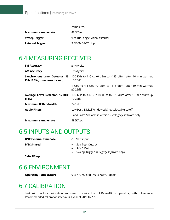|                            | completes.                        |
|----------------------------|-----------------------------------|
| <b>Maximum sample rate</b> | 486K/sec                          |
| <b>Sweep Trigger</b>       | free run, single, video, external |
| <b>External Trigger</b>    | 3.3V CMOS/TTL input               |

## 6.4 MEASURING RECEIVER

| <b>FM Accuracy</b>                                                    | $±1\%$ typical                                                             |
|-----------------------------------------------------------------------|----------------------------------------------------------------------------|
| <b>AM Accuracy</b>                                                    | $±1\%$ typical                                                             |
| Synchronous Level Detector (15<br><b>KHz IF BW, timebases locked)</b> | 100 KHz to 1 GHz +0 dBm to -125 dBm after 10 min warmup<br>$\pm 0.25$ dB   |
|                                                                       | 1 GHz to 4.4 GHz +0 dBm to -115 dBm after 10 min warmup<br>$\pm 0.25$ dB   |
| Average Level Detector, 15 KHz<br><b>IF BW</b>                        | 100 KHz to 4.4 GHz +0 dBm to -70 dBm after 10 min warmup,<br>$\pm 0.25$ dB |
| <b>Maximum IF Bandwidth</b>                                           | 240 KHz                                                                    |
| <b>Audio Filters</b>                                                  | Low Pass: Digital Windowed Sinc, selectable cutoff                         |
|                                                                       | Band Pass: Available in version 2.xx legacy software only                  |
| <b>Maximum sample rate</b>                                            | 486K/sec                                                                   |

## 6.5 INPUTS AND OUTPUTS

| <b>BNC External Timebase</b> | (10 MHz input)     |
|------------------------------|--------------------|
| <b>BNC Shared</b>            | Self Test Output   |
|                              | $\bullet$ SYNC Out |

• Sweep Trigger In *(legacy software only)*

**SMA RF Input**

## 6.6 ENVIRONMENT

**Operating Temperature** 0 to +70 °C (std), -40 to +85 °C (option 1)

# 6.7 CALIBRATION

Test with factory calibration software to verify that USB-SA44B is operating within tolerance. Recommended calibration interval is 1 year at 20°C to 25°C.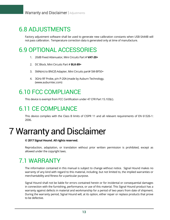## 6.8 ADJUSTMENTS

Factory adjustment software shall be used to generate new calibration constants when USB-SA44B will not pass calibration. Temperature correction data is generated only at time of manufacture.

# 6.9 OPTIONAL ACCESSORIES

- 1. 20dB Fixed Attenuator, Mini Circuits Part # **VAT-20+**
- 2. DC Block, Mini Circuits Part # **BLK-89+**
- 3. SMA(m) to BNC(f) Adapter, Mini Circuits part# SM-BF50+
- 4. 3GHz RF Probe, p/n P-20A (made by Auburn Technology, (www.auburntec.com)

## 6.10 FCC COMPLIANCE

This device is exempt from FCC Certification under 47 CFR Part 15.103(c).

# 6.11 CE COMPLIANCE

This device complies with the Class B limits of CISPR 11 and all relevant requirements of EN 61326-1: 2006.

# <span id="page-16-0"></span>7 Warranty and Disclaimer

#### **© 2017 Signal Hound. All rights reserved.**

Reproduction, adaptation, or translation without prior written permission is prohibited, except as allowed under the copyright laws.

# 7.1 WARRANTY

The information contained in this manual is subject to change without notice. Signal Hound makes no warranty of any kind with regard to this material, including, but not limited to, the implied warranties or merchantability and fitness for a particular purpose.

Signal Hound shall not be liable for errors contained herein or for incidental or consequential damages in connection with the furnishing, performance, or use of this material. This Signal Hound product has a warranty against defects in material and workmanship for a period of two years from date of shipment. During the warranty period, Signal Hound will, at its option, either repair or replace products that prove to be defective.